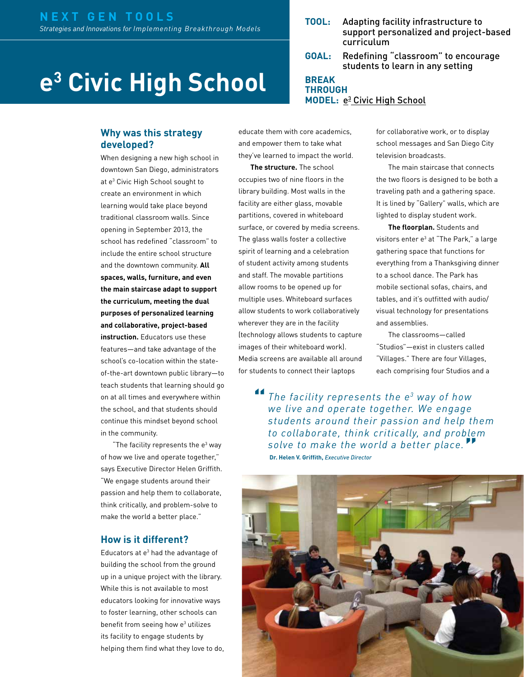# **e3 Civic High School**

#### **Why was this strategy developed?**

When designing a new high school in downtown San Diego, administrators at e3 Civic High School sought to create an environment in which learning would take place beyond traditional classroom walls. Since opening in September 2013, the school has redefined "classroom" to include the entire school structure and the downtown community. **All spaces, walls, furniture, and even the main staircase adapt to support the curriculum, meeting the dual purposes of personalized learning and collaborative, project-based instruction.** Educators use these features—and take advantage of the school's co-location within the stateof-the-art downtown public library—to teach students that learning should go on at all times and everywhere within the school, and that students should continue this mindset beyond school in the community.

"The facility represents the  $e<sup>3</sup>$  way of how we live and operate together," says Executive Director Helen Griffith. "We engage students around their passion and help them to collaborate, think critically, and problem-solve to make the world a better place."

#### **How is it different?**

Educators at  $e<sup>3</sup>$  had the advantage of building the school from the ground up in a unique project with the library. While this is not available to most educators looking for innovative ways to foster learning, other schools can benefit from seeing how e<sup>3</sup> utilizes its facility to engage students by helping them find what they love to do,

- **TOOL:** Adapting facility infrastructure to support personalized and project-based curriculum
- **GOAL:** Redefining "classroom" to encourage students to learn in any setting

#### **BREAK THROUGH MODEL:** e<sup>3</sup> [Civic High School](http://nextgenlearning.org/grantee/℮³-civic-high)

educate them with core academics, and empower them to take what they've learned to impact the world.

**The structure.** The school occupies two of nine floors in the library building. Most walls in the facility are either glass, movable partitions, covered in whiteboard surface, or covered by media screens. The glass walls foster a collective spirit of learning and a celebration of student activity among students and staff. The movable partitions allow rooms to be opened up for multiple uses. Whiteboard surfaces allow students to work collaboratively wherever they are in the facility (technology allows students to capture images of their whiteboard work). Media screens are available all around for students to connect their laptops

for collaborative work, or to display school messages and San Diego City television broadcasts.

The main staircase that connects the two floors is designed to be both a traveling path and a gathering space. It is lined by "Gallery" walls, which are lighted to display student work.

**The floorplan.** Students and visitors enter e<sup>3</sup> at "The Park," a large gathering space that functions for everything from a Thanksgiving dinner to a school dance. The Park has mobile sectional sofas, chairs, and tables, and it's outfitted with audio/ visual technology for presentations and assemblies.

The classrooms—called "Studios"—exist in clusters called "Villages." There are four Villages, each comprising four Studios and a

*The facility represents the e3 way of how we live and operate together. We engage students around their passion and help them to collaborate, think critically, and problem solve to make the world a better place.* **" Dr. Helen V. Griffith,** *Executive Director* **"**

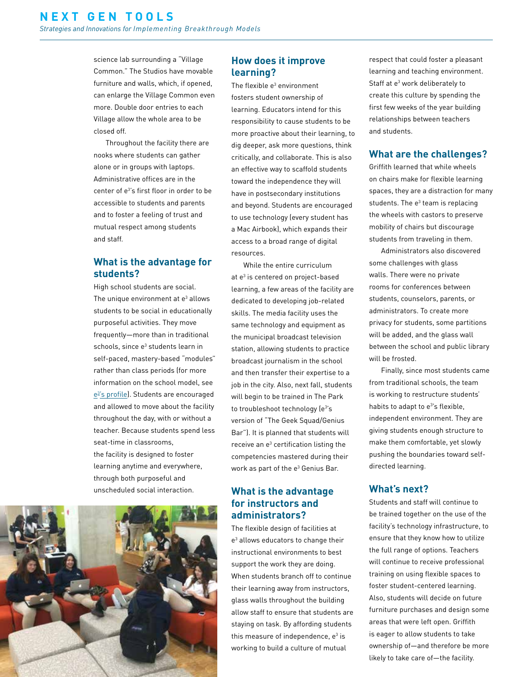science lab surrounding a "Village Common." The Studios have movable furniture and walls, which, if opened, can enlarge the Village Common even more. Double door entries to each Village allow the whole area to be closed off.

Throughout the facility there are nooks where students can gather alone or in groups with laptops. Administrative offices are in the center of e<sup>3'</sup>s first floor in order to be accessible to students and parents and to foster a feeling of trust and mutual respect among students and staff.

# **What is the advantage for students?**

High school students are social. The unique environment at  $e<sup>3</sup>$  allows students to be social in educationally purposeful activities. They move frequently—more than in traditional schools, since e<sup>3</sup> students learn in self-paced, mastery-based "modules" rather than class periods (for more information on the school model, see e<sup>3'</sup>s profile). Students are encouraged and allowed to move about the facility throughout the day, with or without a teacher. Because students spend less seat-time in classrooms, the facility is designed to foster learning anytime and everywhere, through both purposeful and unscheduled social interaction.



## **How does it improve learning?**

The flexible e<sup>3</sup> environment fosters student ownership of learning. Educators intend for this responsibility to cause students to be more proactive about their learning, to dig deeper, ask more questions, think critically, and collaborate. This is also an effective way to scaffold students toward the independence they will have in postsecondary institutions and beyond. Students are encouraged to use technology (every student has a Mac Airbook), which expands their access to a broad range of digital resources.

While the entire curriculum at e<sup>3</sup> is centered on project-based learning, a few areas of the facility are dedicated to developing job-related skills. The media facility uses the same technology and equipment as the municipal broadcast television station, allowing students to practice broadcast journalism in the school and then transfer their expertise to a job in the city. Also, next fall, students will begin to be trained in The Park to troubleshoot technology (e3 's version of "The Geek Squad/Genius Bar"). It is planned that students will receive an e<sup>3</sup> certification listing the competencies mastered during their work as part of the  $e^3$  Genius Bar.

## **What is the advantage for instructors and administrators?**

The flexible design of facilities at e3 allows educators to change their instructional environments to best support the work they are doing. When students branch off to continue their learning away from instructors, glass walls throughout the building allow staff to ensure that students are staying on task. By affording students this measure of independence,  $e^3$  is working to build a culture of mutual

respect that could foster a pleasant learning and teaching environment. Staff at e<sup>3</sup> work deliberately to create this culture by spending the first few weeks of the year building relationships between teachers and students.

#### **What are the challenges?**

Griffith learned that while wheels on chairs make for flexible learning spaces, they are a distraction for many students. The  $e<sup>3</sup>$  team is replacing the wheels with castors to preserve mobility of chairs but discourage students from traveling in them.

Administrators also discovered some challenges with glass walls. There were no private rooms for conferences between students, counselors, parents, or administrators. To create more privacy for students, some partitions will be added, and the glass wall between the school and public library will be frosted.

Finally, since most students came from traditional schools, the team is working to restructure students' habits to adapt to e<sup>3'</sup>s flexible, independent environment. They are giving students enough structure to make them comfortable, yet slowly pushing the boundaries toward selfdirected learning.

#### **What's next?**

Students and staff will continue to be trained together on the use of the facility's technology infrastructure, to ensure that they know how to utilize the full range of options. Teachers will continue to receive professional training on using flexible spaces to foster student-centered learning. Also, students will decide on future furniture purchases and design some areas that were left open. Griffith is eager to allow students to take ownership of—and therefore be more likely to take care of—the facility.